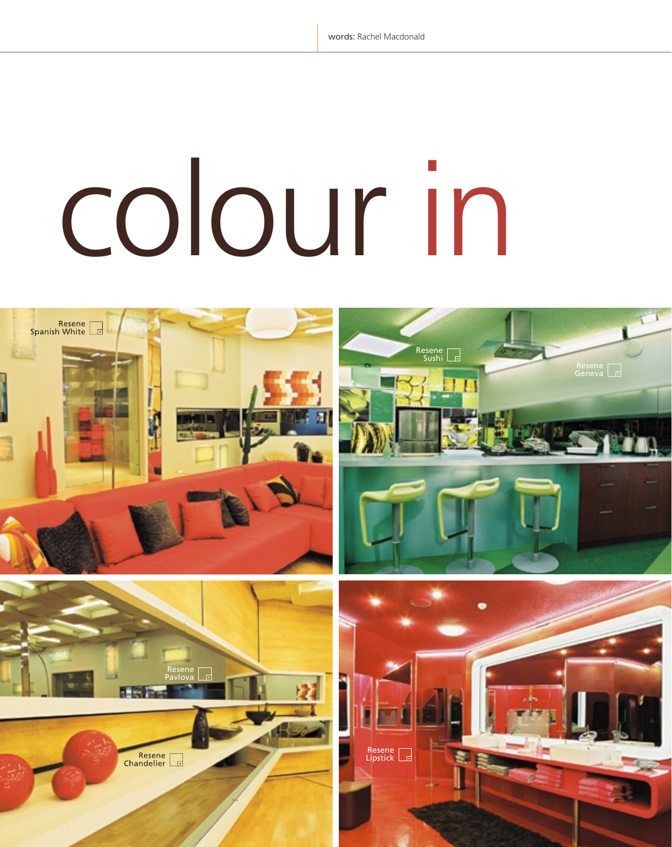# colour in

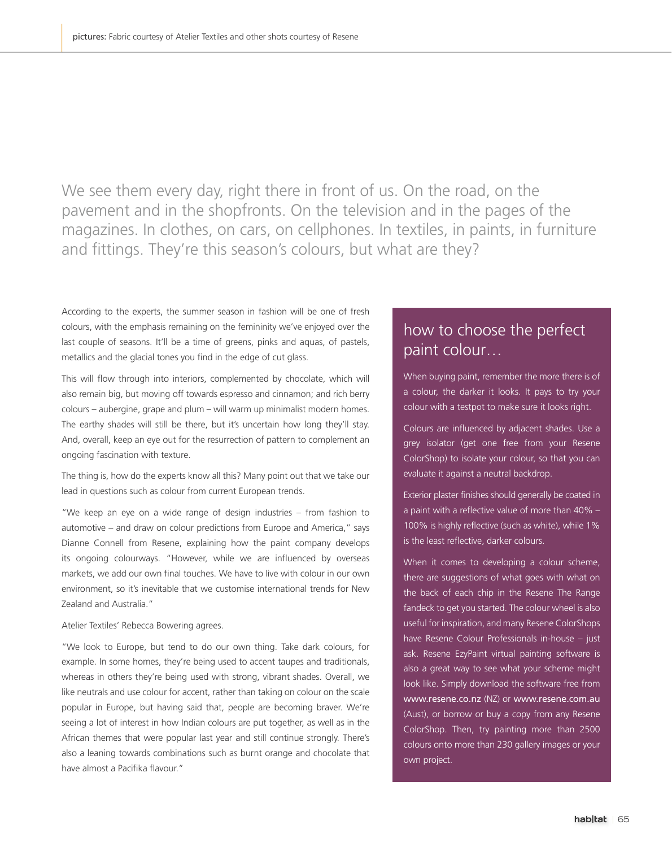We see them every day, right there in front of us. On the road, on the pavement and in the shopfronts. On the television and in the pages of the magazines. In clothes, on cars, on cellphones. In textiles, in paints, in furniture and fittings. They're this season's colours, but what are they?

According to the experts, the summer season in fashion will be one of fresh colours, with the emphasis remaining on the femininity we've enjoyed over the last couple of seasons. It'll be a time of greens, pinks and aquas, of pastels, metallics and the glacial tones you find in the edge of cut glass.

This will flow through into interiors, complemented by chocolate, which will also remain big, but moving off towards espresso and cinnamon; and rich berry colours – aubergine, grape and plum – will warm up minimalist modern homes. The earthy shades will still be there, but it's uncertain how long they'll stay. And, overall, keep an eye out for the resurrection of pattern to complement an ongoing fascination with texture.

The thing is, how do the experts know all this? Many point out that we take our lead in questions such as colour from current European trends.

"We keep an eye on a wide range of design industries – from fashion to automotive – and draw on colour predictions from Europe and America," says Dianne Connell from Resene, explaining how the paint company develops its ongoing colourways. "However, while we are influenced by overseas markets, we add our own final touches. We have to live with colour in our own environment, so it's inevitable that we customise international trends for New Zealand and Australia."

# Atelier Textiles' Rebecca Bowering agrees.

"We look to Europe, but tend to do our own thing. Take dark colours, for example. In some homes, they're being used to accent taupes and traditionals, whereas in others they're being used with strong, vibrant shades. Overall, we like neutrals and use colour for accent, rather than taking on colour on the scale popular in Europe, but having said that, people are becoming braver. We're seeing a lot of interest in how Indian colours are put together, as well as in the African themes that were popular last year and still continue strongly. There's also a leaning towards combinations such as burnt orange and chocolate that have almost a Pacifika flavour."

# how to choose the perfect paint colour…

When buying paint, remember the more there is of a colour, the darker it looks. It pays to try your colour with a testpot to make sure it looks right.

Colours are influenced by adjacent shades. Use a grey isolator (get one free from your Resene ColorShop) to isolate your colour, so that you can evaluate it against a neutral backdrop.

Exterior plaster finishes should generally be coated in a paint with a reflective value of more than  $40\%$  -100% is highly reflective (such as white), while 1% is the least reflective, darker colours.

When it comes to developing a colour scheme, there are suggestions of what goes with what on the back of each chip in the Resene The Range fandeck to get you started. The colour wheel is also useful for inspiration, and many Resene ColorShops have Resene Colour Professionals in-house – just ask. Resene EzyPaint virtual painting software is also a great way to see what your scheme might look like. Simply download the software free from www.resene.co.nz (NZ) or www.resene.com.au (Aust), or borrow or buy a copy from any Resene ColorShop. Then, try painting more than 2500 colours onto more than 230 gallery images or your own project.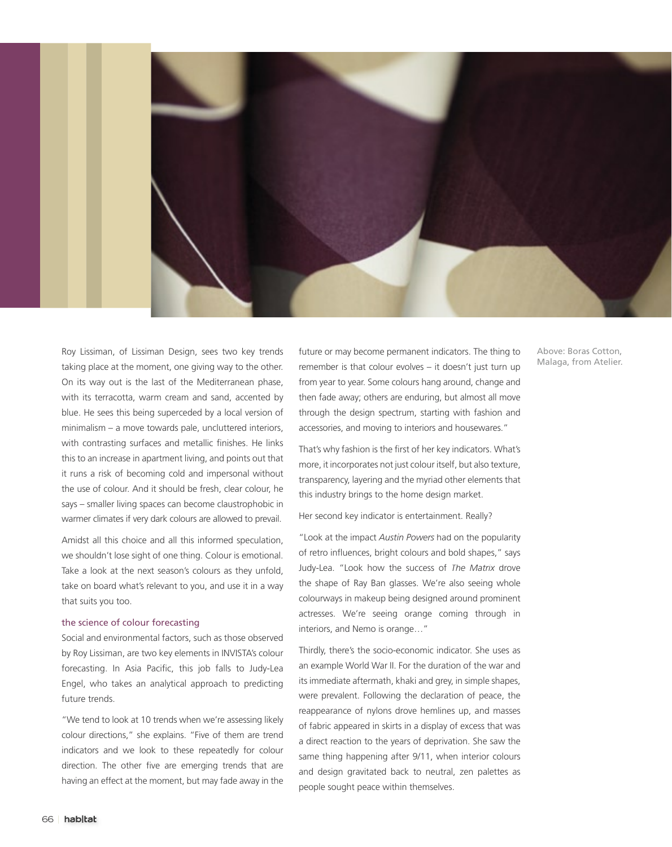

Roy Lissiman, of Lissiman Design, sees two key trends taking place at the moment, one giving way to the other. On its way out is the last of the Mediterranean phase, with its terracotta, warm cream and sand, accented by blue. He sees this being superceded by a local version of minimalism – a move towards pale, uncluttered interiors, with contrasting surfaces and metallic finishes. He links this to an increase in apartment living, and points out that it runs a risk of becoming cold and impersonal without the use of colour. And it should be fresh, clear colour, he says – smaller living spaces can become claustrophobic in warmer climates if very dark colours are allowed to prevail.

Amidst all this choice and all this informed speculation, we shouldn't lose sight of one thing. Colour is emotional. Take a look at the next season's colours as they unfold, take on board what's relevant to you, and use it in a way that suits you too.

### the science of colour forecasting

Social and environmental factors, such as those observed by Roy Lissiman, are two key elements in INVISTA's colour forecasting. In Asia Pacific, this job falls to Judy-Lea Engel, who takes an analytical approach to predicting future trends.

"We tend to look at 10 trends when we're assessing likely colour directions," she explains. "Five of them are trend indicators and we look to these repeatedly for colour direction. The other five are emerging trends that are having an effect at the moment, but may fade away in the

future or may become permanent indicators. The thing to remember is that colour evolves – it doesn't just turn up from year to year. Some colours hang around, change and then fade away; others are enduring, but almost all move through the design spectrum, starting with fashion and accessories, and moving to interiors and housewares."

That's why fashion is the first of her key indicators. What's more, it incorporates not just colour itself, but also texture, transparency, layering and the myriad other elements that this industry brings to the home design market.

## Her second key indicator is entertainment. Really?

"Look at the impact *Austin Powers* had on the popularity of retro influences, bright colours and bold shapes," says Judy-Lea. "Look how the success of *The Matrix* drove the shape of Ray Ban glasses. We're also seeing whole colourways in makeup being designed around prominent actresses. We're seeing orange coming through in interiors, and Nemo is orange…"

Thirdly, there's the socio-economic indicator. She uses as an example World War II. For the duration of the war and its immediate aftermath, khaki and grey, in simple shapes, were prevalent. Following the declaration of peace, the reappearance of nylons drove hemlines up, and masses of fabric appeared in skirts in a display of excess that was a direct reaction to the years of deprivation. She saw the same thing happening after 9/11, when interior colours and design gravitated back to neutral, zen palettes as people sought peace within themselves.

Above: Boras Cotton, Malaga, from Atelier.